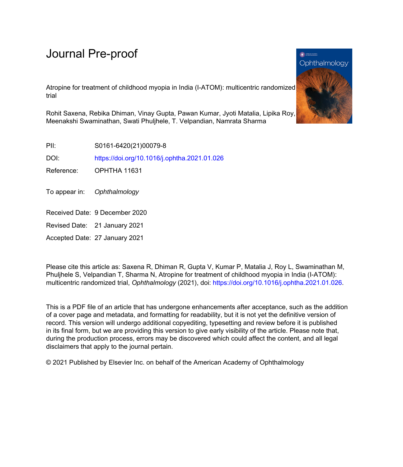# Journal Pre-proof

Atropine for treatment of childhood myopia in India (I-ATOM): multicentric randomized trial

Rohit Saxena, Rebika Dhiman, Vinay Gupta, Pawan Kumar, Jyoti Matalia, Lipika Roy, Meenakshi Swaminathan, Swati Phuljhele, T. Velpandian, Namrata Sharma

PII: S0161-6420(21)00079-8

DOI: <https://doi.org/10.1016/j.ophtha.2021.01.026>

Reference: OPHTHA 11631

To appear in: Ophthalmology

Received Date: 9 December 2020

Revised Date: 21 January 2021

Accepted Date: 27 January 2021

Please cite this article as: Saxena R, Dhiman R, Gupta V, Kumar P, Matalia J, Roy L, Swaminathan M, Phuljhele S, Velpandian T, Sharma N, Atropine for treatment of childhood myopia in India (I-ATOM): multicentric randomized trial, *Ophthalmology* (2021), doi:<https://doi.org/10.1016/j.ophtha.2021.01.026>.

This is a PDF file of an article that has undergone enhancements after acceptance, such as the addition of a cover page and metadata, and formatting for readability, but it is not yet the definitive version of record. This version will undergo additional copyediting, typesetting and review before it is published in its final form, but we are providing this version to give early visibility of the article. Please note that, during the production process, errors may be discovered which could affect the content, and all legal disclaimers that apply to the journal pertain.

© 2021 Published by Elsevier Inc. on behalf of the American Academy of Ophthalmology

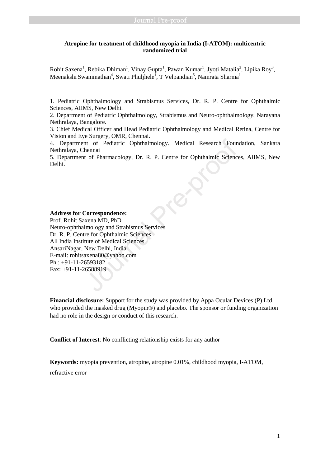### **Atropine for treatment of childhood myopia in India (I-ATOM): multicentric randomized trial**

Rohit Saxena<sup>1</sup>, Rebika Dhiman<sup>1</sup>, Vinay Gupta<sup>1</sup>, Pawan Kumar<sup>1</sup>, Jyoti Matalia<sup>2</sup>, Lipika Roy<sup>3</sup>, Meenakshi Swaminathan $\rm ^4$ , Swati Phuljhele $\rm ^1$ , T Velpandian $\rm ^5$ , Namrata Sharma $\rm ^1$ 

1. Pediatric Ophthalmology and Strabismus Services, Dr. R. P. Centre for Ophthalmic Sciences, AIIMS, New Delhi.

2. Department of Pediatric Ophthalmology, Strabismus and Neuro-ophthalmology, Narayana Nethralaya, Bangalore.

3. Chief Medical Officer and Head Pediatric Ophthalmology and Medical Retina, Centre for Vision and Eye Surgery, OMR, Chennai.

4. Department of Pediatric Ophthalmology. Medical Research Foundation, Sankara Nethralaya, Chennai

5. Department of Pharmacology, Dr. R. P. Centre for Ophthalmic Sciences, AIIMS, New Delhi.

### **Address for Correspondence:**

Prof. Rohit Saxena MD, PhD. Neuro-ophthalmology and Strabismus Services Dr. R. P. Centre for Ophthalmic Sciences All India Institute of Medical Sciences AnsariNagar, New Delhi, India. E-mail: rohitsaxena80@yahoo.com Ph.: +91-11-26593182 Fax: +91-11-26588919 of Pediatric Ophthalmology. Medical Research Found<br>the of Pediatric Ophthalmology. Medical Research Found<br>hennai<br>t of Pharmacology, Dr. R. P. Centre for Ophthalmic Science<br>Normal MD, PhD.<br>Imology and Strabismus Services<br>re

**Financial disclosure:** Support for the study was provided by Appa Ocular Devices (P) Ltd. who provided the masked drug (Myopin®) and placebo. The sponsor or funding organization had no role in the design or conduct of this research.

**Conflict of Interest**: No conflicting relationship exists for any author

**Keywords:** myopia prevention, atropine, atropine 0.01%, childhood myopia, I-ATOM, refractive error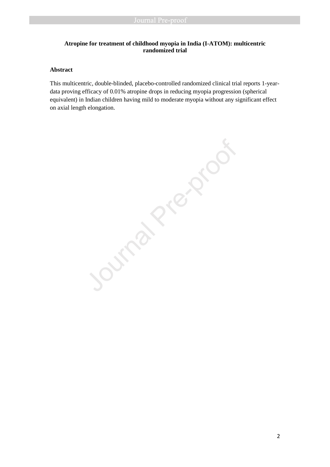## **Atropine for treatment of childhood myopia in India (I-ATOM): multicentric randomized trial**

### **Abstract**

This multicentric, double-blinded, placebo-controlled randomized clinical trial reports 1-yeardata proving efficacy of 0.01% atropine drops in reducing myopia progression (spherical equivalent) in Indian children having mild to moderate myopia without any significant effect on axial length elongation.

Jumple Pre-proof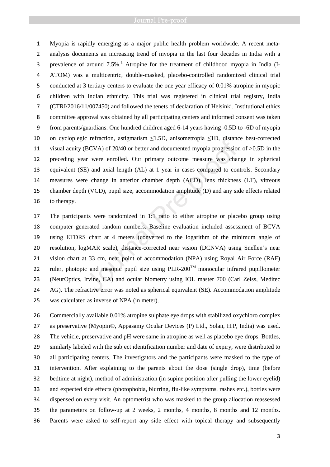Myopia is rapidly emerging as a major public health problem worldwide. A recent meta-analysis documents an increasing trend of myopia in the last four decades in India with a 3 prevalence of around 7.5%.<sup>1</sup> Atropine for the treatment of childhood myopia in India (I-ATOM) was a multicentric, double-masked, placebo-controlled randomized clinical trial conducted at 3 tertiary centers to evaluate the one year efficacy of 0.01% atropine in myopic children with Indian ethnicity. This trial was registered in clinical trial registry, India (CTRI/2016/11/007450) and followed the tenets of declaration of Helsinki. Institutional ethics committee approval was obtained by all participating centers and informed consent was taken from parents/guardians. One hundred children aged 6-14 years having -0.5D to -6D of myopia on cycloplegic refraction, astigmatism ≤1.5D, anisometropia ≤1D, distance best-corrected visual acuity (BCVA) of 20/40 or better and documented myopia progression of >0.5D in the preceding year were enrolled. Our primary outcome measure was change in spherical equivalent (SE) and axial length (AL) at 1 year in cases compared to controls. Secondary measures were change in anterior chamber depth (ACD), lens thickness (LT), vitreous chamber depth (VCD), pupil size, accommodation amplitude (D) and any side effects related to therapy.

The participants were randomized in 1:1 ratio to either atropine or placebo group using computer generated random numbers. Baseline evaluation included assessment of BCVA using ETDRS chart at 4 meters (converted to the logarithm of the minimum angle of resolution, logMAR scale), distance-corrected near vision (DCNVA) using Snellen's near vision chart at 33 cm, near point of accommodation (NPA) using Royal Air Force (RAF) 22 ruler, photopic and mesopic pupil size using  $PLR-200<sup>TM</sup>$  monocular infrared pupillometer (NeurOptics, Irvine, CA) and ocular biometry using IOL master 700 (Carl Zeiss, Meditec AG). The refractive error was noted as spherical equivalent (SE). Accommodation amplitude was calculated as inverse of NPA (in meter). E refraction, astignatism  $\geq$ 1.5D, anisometropia  $\geq$ 1D, distants BCVA) of 20/40 or better and documented myopia progression ar were enrolled. Our primary outcome measure was change in anterior chamber depth (ACD), len

26 Commercially available 0.01% atropine sulphate eye drops with stabilized oxychloro complex as preservative (Myopin®, Appasamy Ocular Devices (P) Ltd., Solan, H.P, India) was used. The vehicle, preservative and pH were same in atropine as well as placebo eye drops. Bottles, similarly labeled with the subject identification number and date of expiry, were distributed to all participating centers. The investigators and the participants were masked to the type of intervention. After explaining to the parents about the dose (single drop), time (before bedtime at night), method of administration (in supine position after pulling the lower eyelid) and expected side effects (photophobia, blurring, flu-like symptoms, rashes etc.), bottles were dispensed on every visit. An optometrist who was masked to the group allocation reassessed the parameters on follow-up at 2 weeks, 2 months, 4 months, 8 months and 12 months. Parents were asked to self-report any side effect with topical therapy and subsequently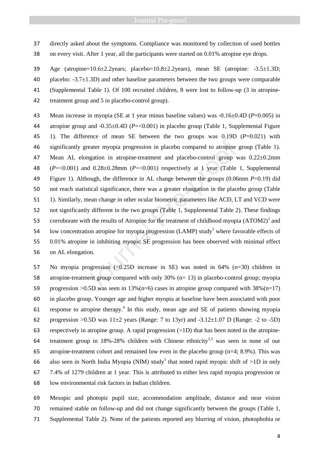directly asked about the symptoms. Compliance was monitored by collection of used bottles

on every visit. After 1 year, all the participants were started on 0.01% atropine eye drops.

Age (atropine=10.6±2.2years; placebo=10.8±2.2years), mean SE (atropine: -3.5±1.3D; placebo: -3.7±1.3D) and other baseline parameters between the two groups were comparable (Supplemental Table 1). Of 100 recruited children, 8 were lost to follow-up (3 in atropine-treatment group and 5 in placebo-control group).

43 Mean increase in myopia (SE at 1 year minus baseline values) was  $-0.16\pm0.4D$  (*P*=0.005) in atropine group and -0.35±0.4D (*P*=<0.001) in placebo group (Table 1, Supplemental Figure 1). The difference of mean SE between the two groups was 0.19D (*P*=0.021) with significantly greater myopia progression in placebo compared to atropine group (Table 1). Mean AL elongation in atropine-treatment and placebo-control group was 0.22±0.2mm (*P*=<0.001) and 0.28±0.28mm (*P*=<0.001) respectively at 1 year (Table 1, Supplemental Figure 1). Although, the difference in AL change between the groups (0.06mm *P*=0.19) did not reach statistical significance, there was a greater elongation in the placebo group (Table 1). Similarly, mean change in other ocular biometric parameters like ACD, LT and VCD were not significantly different in the two groups (Table 1, Supplemental Table 2). These findings 53 corroborate with the results of Atropine for the treatment of childhood myopia  $(ATOM2)^2$  and 54 low concentration atropine for myopia progression (LAMP) study<sup>3</sup> where favorable effects of 0.01% atropine in inhibiting myopic SE progression has been observed with minimal effect on AL elongation. preader myopia progression in placebo compared to atropine<br>preader myopia progression in placebo compared to atropine<br>ongation in atropine-treatment and placebo-control group v<br>nd 0.28±0.28mm ( $P=<0.001$ ) respectively at 1

No myopia progression (<0.25D increase in SE) was noted in 64% (n=30) children in atropine-treatment group compared with only 30% (n= 13) in placebo-control group; myopia 59 progression  $>0.5D$  was seen in 13%(n=6) cases in atropine group compared with 38%(n=17) in placebo group. Younger age and higher myopia at baseline have been associated with poor 61 response to atropine therapy.<sup>4</sup> In this study, mean age and SE of patients showing myopia 62 progression >0.5D was  $11\pm 2$  years (Range: 7 to 13yr) and -3.12 $\pm 1.07$  D (Range: -2 to -5D) respectively in atropine group. A rapid progression (>1D) that has been noted in the atropine-64 treatment group in 18%-28% children with Chinese ethnicity<sup>2,3</sup> was seen in none of our atropine-treatment cohort and remained low even in the placebo group (n=4; 8.9%). This was 66 also seen in North India Myopia (NIM) study<sup>5</sup> that noted rapid myopic shift of >1D in only 7.4% of 1279 children at 1 year. This is attributed to either less rapid myopia progression or low environmental risk factors in Indian children.

Mesopic and photopic pupil size, accommodation amplitude, distance and near vision remained stable on follow-up and did not change significantly between the groups (Table 1, Supplemental Table 2). None of the patients reported any blurring of vision, photophobia or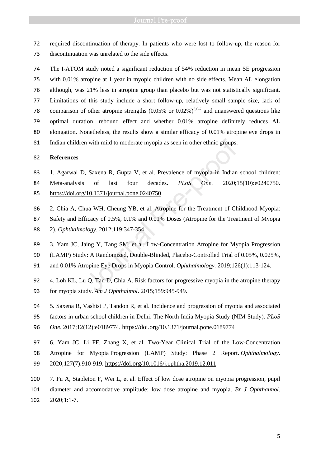required discontinuation of therapy. In patients who were lost to follow-up, the reason for discontinuation was unrelated to the side effects.

The I-ATOM study noted a significant reduction of 54% reduction in mean SE progression with 0.01% atropine at 1 year in myopic children with no side effects. Mean AL elongation although, was 21% less in atropine group than placebo but was not statistically significant. Limitations of this study include a short follow-up, relatively small sample size, lack of 78 comparison of other atropine strengths  $(0.05\% \text{ or } 0.02\%)^{3,6-7}$  and unanswered questions like optimal duration, rebound effect and whether 0.01% atropine definitely reduces AL elongation. Nonetheless, the results show a similar efficacy of 0.01% atropine eye drops in Indian children with mild to moderate myopia as seen in other ethnic groups.

## **References**

1. Agarwal D, Saxena R, Gupta V, et al. Prevalence of myopia in Indian school children: Meta-analysis of last four decades. *PLoS One*. 2020;15(10):e0240750. https://doi.org/10.1371/journal.pone.0240750 in with mild to moderate myopia as seen in other ethnic groups.<br>
9. Saxena R, Gupta V, et al. Prevalence of myopia in Indian<br>
of last four decades. *PLoS One*. 2020;<br>
10.1371/journal.pone.0240750<br>
10.1371/journal.pone.0240

2. Chia A, Chua WH, Cheung YB, et al. Atropine for the Treatment of Childhood Myopia: Safety and Efficacy of 0.5%, 0.1% and 0.01% Doses (Atropine for the Treatment of Myopia 2). *Ophthalmology*. 2012;119:347-354.

3. Yam JC, Jaing Y, Tang SM, et al. Low-Concentration Atropine for Myopia Progression (LAMP) Study: A Randomized, Double-Blinded, Placebo-Controlled Trial of 0.05%, 0.025%,

and 0.01% Atropine Eye Drops in Myopia Control. *Ophthalmology.* 2019;126(1):113-124.

- 4. Loh KL, Lu Q, Tan D, Chia A. Risk factors for progressive myopia in the atropine therapy for myopia study. *Am J Ophthalmol*. 2015;159:945-949.
- 5. Saxena R, Vashist P, Tandon R, et al. Incidence and progression of myopia and associated factors in urban school children in Delhi: The North India Myopia Study (NIM Study). *PLoS One*. 2017;12(12):e0189774. https://doi.org/10.1371/journal.pone.0189774
- 6. Yam JC, Li FF, Zhang X, et al. Two-Year Clinical Trial of the Low-Concentration Atropine for Myopia Progression (LAMP) Study: Phase 2 Report. *Ophthalmology*. 2020;127(7):910-919. https://doi.org/10.1016/j.ophtha.2019.12.011
- 7. Fu A, Stapleton F, Wei L, et al. Effect of low dose atropine on myopia progression, pupil diameter and accomodative amplitude: low dose atropine and myopia. *Br J Ophthalmol.*  2020;1:1-7.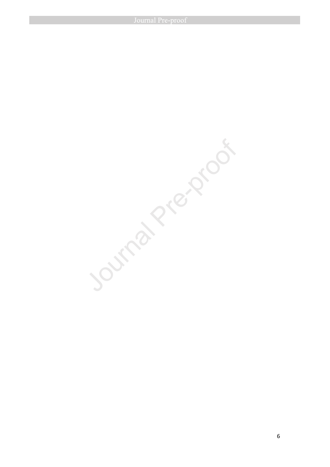Journal Pre-proof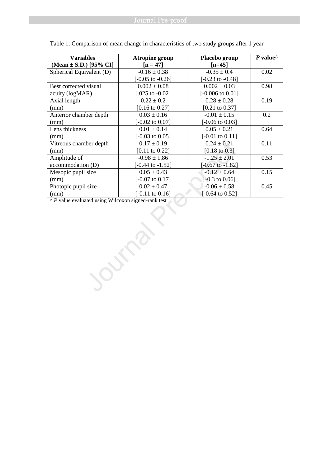| <b>Variables</b>                                           | <b>Atropine group</b>       | Placebo group               | P value $\wedge$ |
|------------------------------------------------------------|-----------------------------|-----------------------------|------------------|
| (Mean $\pm$ S.D.) [95% CI]                                 | $[n = 47]$                  | $[n=45]$                    |                  |
| Spherical Equivalent (D)                                   | $-0.16 \pm 0.38$            | $-0.35 \pm 0.4$             | 0.02             |
|                                                            | $[-0.05 \text{ to } -0.26]$ | $[-0.23 \text{ to } -0.48]$ |                  |
| Best corrected visual                                      | $0.002 \pm 0.08$            | $0.002 \pm 0.03$            | 0.98             |
| acuity (logMAR)                                            | [.025 to $-0.02$ ]          | $[-0.006 \text{ to } 0.01]$ |                  |
| Axial length                                               | $0.22 \pm 0.2$              | $0.28 \pm 0.28$             | 0.19             |
| (mm)                                                       | $[0.16 \text{ to } 0.27]$   | $[0.21 \text{ to } 0.37]$   |                  |
| Anterior chamber depth                                     | $0.03 \pm 0.16$             | $-0.01 \pm 0.15$            | 0.2              |
| (mm)                                                       | $[-0.02 \text{ to } 0.07]$  | $[-0.06 \text{ to } 0.03]$  |                  |
| Lens thickness                                             | $0.01 \pm 0.14$             | $0.05 \pm 0.21$             | 0.64             |
| (mm)                                                       | $[-0.03 \text{ to } 0.05]$  | $[-0.01 \text{ to } 0.11]$  |                  |
| Vitreous chamber depth                                     | $0.17 \pm 0.19$             | $0.24 \pm 0.21$             | 0.11             |
| (mm)                                                       | $[0.11 \text{ to } 0.22]$   | $[0.18 \text{ to } 0.3]$    |                  |
| Amplitude of                                               | $-0.98 \pm 1.86$            | $-1.25 \pm 2.01$            | 0.53             |
| accommodation (D)                                          | $[-0.44 \text{ to } -1.52]$ | $[-0.67 \text{ to } -1.82]$ |                  |
| Mesopic pupil size                                         | $0.05 \pm 0.43$             | $-0.12 \pm 0.64$            | 0.15             |
| (mm)                                                       | $[-0.07 \text{ to } 0.17]$  | $[-0.3 \text{ to } 0.06]$   |                  |
| Photopic pupil size                                        | $0.02 \pm 0.47$             | $-0.06 \pm 0.58$            | 0.45             |
| (mm)                                                       | $[-0.11 \text{ to } 0.16]$  | $[-0.64 \text{ to } 0.52]$  |                  |
| $\wedge$ P value evaluated using Wilcoxon signed-rank test |                             |                             |                  |
|                                                            |                             |                             |                  |
|                                                            |                             |                             |                  |
|                                                            |                             |                             |                  |
|                                                            |                             |                             |                  |
|                                                            |                             |                             |                  |
|                                                            |                             |                             |                  |
|                                                            |                             |                             |                  |
|                                                            |                             |                             |                  |
|                                                            |                             |                             |                  |
|                                                            |                             |                             |                  |
|                                                            |                             |                             |                  |
|                                                            |                             |                             |                  |
|                                                            |                             |                             |                  |

Table 1: Comparison of mean change in characteristics of two study groups after 1 year